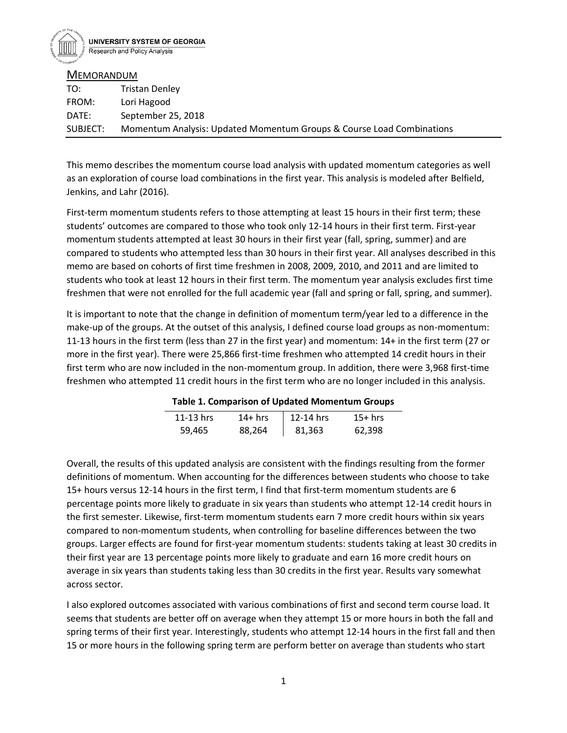

**MEMORANDUM** 

| TO:      | Tristan Denley                                                        |
|----------|-----------------------------------------------------------------------|
| FROM:    | Lori Hagood                                                           |
| DATE:    | September 25, 2018                                                    |
| SUBJECT: | Momentum Analysis: Updated Momentum Groups & Course Load Combinations |

This memo describes the momentum course load analysis with updated momentum categories as well as an exploration of course load combinations in the first year. This analysis is modeled after Belfield, Jenkins, and Lahr (2016).

First-term momentum students refers to those attempting at least 15 hours in their first term; these students' outcomes are compared to those who took only 12-14 hours in their first term. First-year momentum students attempted at least 30 hours in their first year (fall, spring, summer) and are compared to students who attempted less than 30 hours in their first year. All analyses described in this memo are based on cohorts of first time freshmen in 2008, 2009, 2010, and 2011 and are limited to students who took at least 12 hours in their first term. The momentum year analysis excludes first time freshmen that were not enrolled for the full academic year (fall and spring or fall, spring, and summer).

It is important to note that the change in definition of momentum term/year led to a difference in the make-up of the groups. At the outset of this analysis, I defined course load groups as non-momentum: 11-13 hours in the first term (less than 27 in the first year) and momentum: 14+ in the first term (27 or more in the first year). There were 25,866 first-time freshmen who attempted 14 credit hours in their first term who are now included in the non-momentum group. In addition, there were 3,968 first-time freshmen who attempted 11 credit hours in the first term who are no longer included in this analysis.

| Table 1. Comparison of Updated Momentum Groups |          |             |           |  |  |  |  |  |
|------------------------------------------------|----------|-------------|-----------|--|--|--|--|--|
| 11-13 hrs                                      | $14+hrs$ | $12-14$ hrs | $15+$ hrs |  |  |  |  |  |
| 59.465                                         | 88,264   | 81,363      | 62,398    |  |  |  |  |  |

Overall, the results of this updated analysis are consistent with the findings resulting from the former definitions of momentum. When accounting for the differences between students who choose to take 15+ hours versus 12-14 hours in the first term, I find that first-term momentum students are 6 percentage points more likely to graduate in six years than students who attempt 12-14 credit hours in the first semester. Likewise, first-term momentum students earn 7 more credit hours within six years compared to non-momentum students, when controlling for baseline differences between the two groups. Larger effects are found for first-year momentum students: students taking at least 30 credits in their first year are 13 percentage points more likely to graduate and earn 16 more credit hours on average in six years than students taking less than 30 credits in the first year. Results vary somewhat across sector.

I also explored outcomes associated with various combinations of first and second term course load. It seems that students are better off on average when they attempt 15 or more hours in both the fall and spring terms of their first year. Interestingly, students who attempt 12-14 hours in the first fall and then 15 or more hours in the following spring term are perform better on average than students who start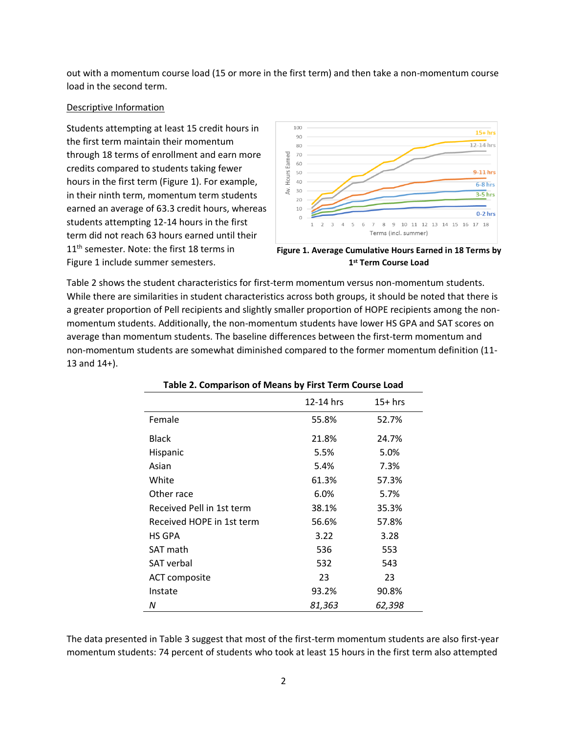out with a momentum course load (15 or more in the first term) and then take a non-momentum course load in the second term.

### Descriptive Information

Students attempting at least 15 credit hours in the first term maintain their momentum through 18 terms of enrollment and earn more credits compared to students taking fewer hours in the first term (Figure 1). For example, in their ninth term, momentum term students earned an average of 63.3 credit hours, whereas students attempting 12-14 hours in the first term did not reach 63 hours earned until their 11<sup>th</sup> semester. Note: the first 18 terms in Figure 1 include summer semesters.



**1 st Term Course Load**

Table 2 shows the student characteristics for first-term momentum versus non-momentum students. While there are similarities in student characteristics across both groups, it should be noted that there is a greater proportion of Pell recipients and slightly smaller proportion of HOPE recipients among the nonmomentum students. Additionally, the non-momentum students have lower HS GPA and SAT scores on average than momentum students. The baseline differences between the first-term momentum and non-momentum students are somewhat diminished compared to the former momentum definition (11- 13 and 14+).

| . apre L. Companioni or means by instrumentise Louis |           |           |
|------------------------------------------------------|-----------|-----------|
|                                                      | 12-14 hrs | $15+$ hrs |
| Female                                               | 55.8%     | 52.7%     |
| <b>Black</b>                                         | 21.8%     | 24.7%     |
| Hispanic                                             | 5.5%      | 5.0%      |
| Asian                                                | 5.4%      | 7.3%      |
| White                                                | 61.3%     | 57.3%     |
| Other race                                           | 6.0%      | 5.7%      |
| Received Pell in 1st term                            | 38.1%     | 35.3%     |
| Received HOPE in 1st term                            | 56.6%     | 57.8%     |
| HS GPA                                               | 3.22      | 3.28      |
| SAT math                                             | 536       | 553       |
| <b>SAT</b> verbal                                    | 532       | 543       |
| ACT composite                                        | 23        | 23        |
| Instate                                              | 93.2%     | 90.8%     |
| Ν                                                    | 81,363    | 62,398    |

The data presented in Table 3 suggest that most of the first-term momentum students are also first-year momentum students: 74 percent of students who took at least 15 hours in the first term also attempted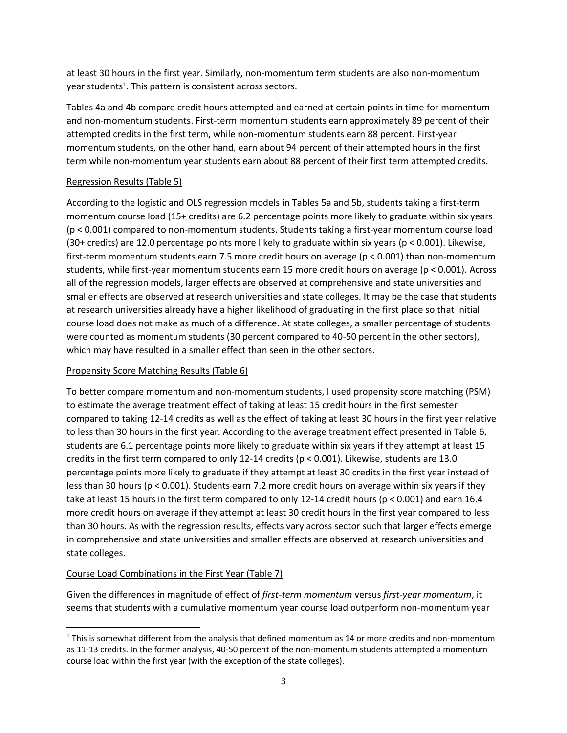at least 30 hours in the first year. Similarly, non-momentum term students are also non-momentum year students<sup>1</sup>. This pattern is consistent across sectors.

Tables 4a and 4b compare credit hours attempted and earned at certain points in time for momentum and non-momentum students. First-term momentum students earn approximately 89 percent of their attempted credits in the first term, while non-momentum students earn 88 percent. First-year momentum students, on the other hand, earn about 94 percent of their attempted hours in the first term while non-momentum year students earn about 88 percent of their first term attempted credits.

## Regression Results (Table 5)

According to the logistic and OLS regression models in Tables 5a and 5b, students taking a first-term momentum course load (15+ credits) are 6.2 percentage points more likely to graduate within six years (p < 0.001) compared to non-momentum students. Students taking a first-year momentum course load (30+ credits) are 12.0 percentage points more likely to graduate within six years (p < 0.001). Likewise, first-term momentum students earn 7.5 more credit hours on average (p < 0.001) than non-momentum students, while first-year momentum students earn 15 more credit hours on average (p < 0.001). Across all of the regression models, larger effects are observed at comprehensive and state universities and smaller effects are observed at research universities and state colleges. It may be the case that students at research universities already have a higher likelihood of graduating in the first place so that initial course load does not make as much of a difference. At state colleges, a smaller percentage of students were counted as momentum students (30 percent compared to 40-50 percent in the other sectors), which may have resulted in a smaller effect than seen in the other sectors.

# Propensity Score Matching Results (Table 6)

To better compare momentum and non-momentum students, I used propensity score matching (PSM) to estimate the average treatment effect of taking at least 15 credit hours in the first semester compared to taking 12-14 credits as well as the effect of taking at least 30 hours in the first year relative to less than 30 hours in the first year. According to the average treatment effect presented in Table 6, students are 6.1 percentage points more likely to graduate within six years if they attempt at least 15 credits in the first term compared to only 12-14 credits (p < 0.001). Likewise, students are 13.0 percentage points more likely to graduate if they attempt at least 30 credits in the first year instead of less than 30 hours (p < 0.001). Students earn 7.2 more credit hours on average within six years if they take at least 15 hours in the first term compared to only 12-14 credit hours (p < 0.001) and earn 16.4 more credit hours on average if they attempt at least 30 credit hours in the first year compared to less than 30 hours. As with the regression results, effects vary across sector such that larger effects emerge in comprehensive and state universities and smaller effects are observed at research universities and state colleges.

# Course Load Combinations in the First Year (Table 7)

 $\overline{a}$ 

Given the differences in magnitude of effect of *first-term momentum* versus *first-year momentum*, it seems that students with a cumulative momentum year course load outperform non-momentum year

<sup>&</sup>lt;sup>1</sup> This is somewhat different from the analysis that defined momentum as 14 or more credits and non-momentum as 11-13 credits. In the former analysis, 40-50 percent of the non-momentum students attempted a momentum course load within the first year (with the exception of the state colleges).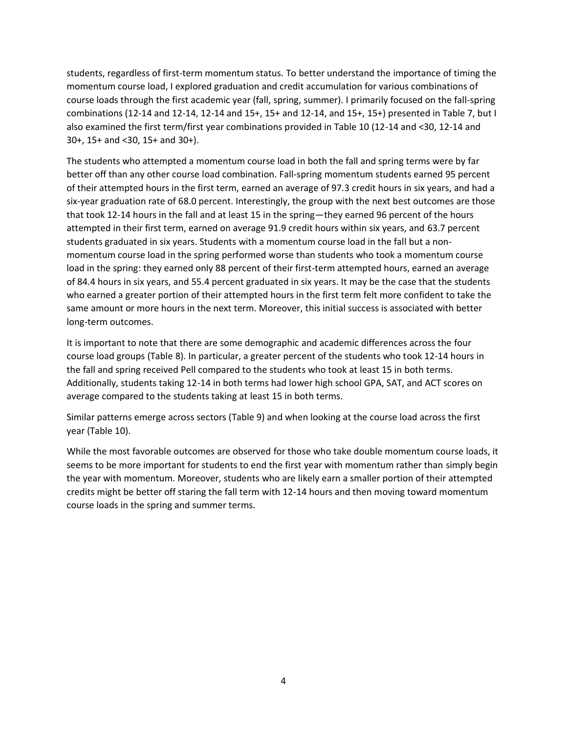students, regardless of first-term momentum status. To better understand the importance of timing the momentum course load, I explored graduation and credit accumulation for various combinations of course loads through the first academic year (fall, spring, summer). I primarily focused on the fall-spring combinations (12-14 and 12-14, 12-14 and 15+, 15+ and 12-14, and 15+, 15+) presented in Table 7, but I also examined the first term/first year combinations provided in Table 10 (12-14 and <30, 12-14 and 30+, 15+ and <30, 15+ and 30+).

The students who attempted a momentum course load in both the fall and spring terms were by far better off than any other course load combination. Fall-spring momentum students earned 95 percent of their attempted hours in the first term, earned an average of 97.3 credit hours in six years, and had a six-year graduation rate of 68.0 percent. Interestingly, the group with the next best outcomes are those that took 12-14 hours in the fall and at least 15 in the spring—they earned 96 percent of the hours attempted in their first term, earned on average 91.9 credit hours within six years, and 63.7 percent students graduated in six years. Students with a momentum course load in the fall but a nonmomentum course load in the spring performed worse than students who took a momentum course load in the spring: they earned only 88 percent of their first-term attempted hours, earned an average of 84.4 hours in six years, and 55.4 percent graduated in six years. It may be the case that the students who earned a greater portion of their attempted hours in the first term felt more confident to take the same amount or more hours in the next term. Moreover, this initial success is associated with better long-term outcomes.

It is important to note that there are some demographic and academic differences across the four course load groups (Table 8). In particular, a greater percent of the students who took 12-14 hours in the fall and spring received Pell compared to the students who took at least 15 in both terms. Additionally, students taking 12-14 in both terms had lower high school GPA, SAT, and ACT scores on average compared to the students taking at least 15 in both terms.

Similar patterns emerge across sectors (Table 9) and when looking at the course load across the first year (Table 10).

While the most favorable outcomes are observed for those who take double momentum course loads, it seems to be more important for students to end the first year with momentum rather than simply begin the year with momentum. Moreover, students who are likely earn a smaller portion of their attempted credits might be better off staring the fall term with 12-14 hours and then moving toward momentum course loads in the spring and summer terms.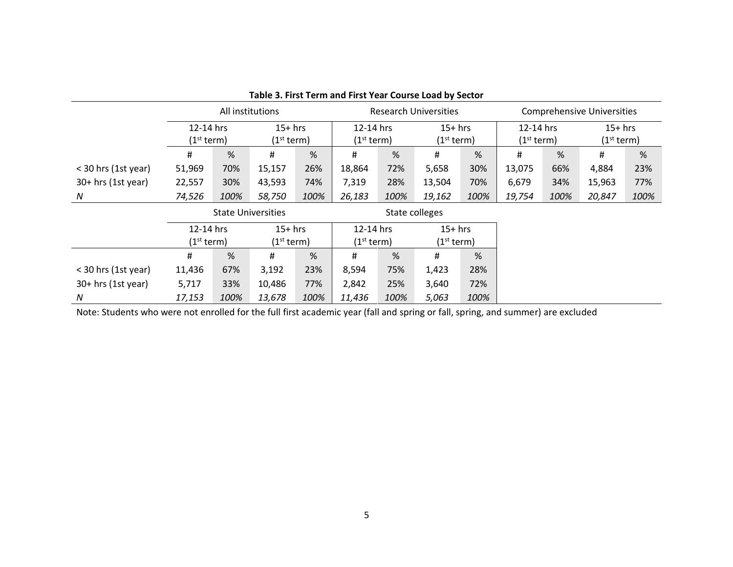| Table 3. That Term and That Tear Course Load by Sector |                           |      |                        |      |                              |      |                        |      |                                   |      |                        |      |
|--------------------------------------------------------|---------------------------|------|------------------------|------|------------------------------|------|------------------------|------|-----------------------------------|------|------------------------|------|
|                                                        | All institutions          |      |                        |      | <b>Research Universities</b> |      |                        |      | <b>Comprehensive Universities</b> |      |                        |      |
|                                                        | 12-14 hrs<br>$15+$ hrs    |      | 12-14 hrs              |      | $15+$ hrs                    |      | 12-14 hrs              |      | $15+$ hrs                         |      |                        |      |
|                                                        | (1 <sup>st</sup> term)    |      | (1 <sup>st</sup> term) |      | (1 <sup>st</sup> term)       |      | (1 <sup>st</sup> term) |      | (1 <sup>st</sup> term)            |      | (1 <sup>st</sup> term) |      |
|                                                        | #                         | %    | Ħ.                     | %    | #                            | %    | #                      | %    | #                                 | %    | #                      | %    |
| < 30 hrs (1st year)                                    | 51,969                    | 70%  | 15,157                 | 26%  | 18,864                       | 72%  | 5,658                  | 30%  | 13,075                            | 66%  | 4,884                  | 23%  |
| $30+$ hrs (1st year)                                   | 22,557                    | 30%  | 43,593                 | 74%  | 7,319                        | 28%  | 13,504                 | 70%  | 6,679                             | 34%  | 15,963                 | 77%  |
| N                                                      | 74,526                    | 100% | 58,750                 | 100% | 26,183                       | 100% | 19,162                 | 100% | 19,754                            | 100% | 20,847                 | 100% |
|                                                        | <b>State Universities</b> |      |                        |      | State colleges               |      |                        |      |                                   |      |                        |      |
|                                                        | 12-14 hrs                 |      | $15+$ hrs              |      | 12-14 hrs                    |      | $15+$ hrs              |      |                                   |      |                        |      |
|                                                        | (1 <sup>st</sup> term)    |      | (1 <sup>st</sup> term) |      | (1 <sup>st</sup> term)       |      | (1 <sup>st</sup> term) |      |                                   |      |                        |      |
|                                                        | #                         | %    | #                      | %    | #                            | %    | #                      | %    |                                   |      |                        |      |
| < 30 hrs (1st year)                                    | 11,436                    | 67%  | 3,192                  | 23%  | 8,594                        | 75%  | 1,423                  | 28%  |                                   |      |                        |      |
| $30+$ hrs (1st year)                                   | 5,717                     | 33%  | 10,486                 | 77%  | 2,842                        | 25%  | 3,640                  | 72%  |                                   |      |                        |      |
| N                                                      | 17,153                    | 100% | 13,678                 | 100% | 11,436                       | 100% | 5,063                  | 100% |                                   |      |                        |      |

**Table 3. First Term and First Year Course Load by Sector**

Note: Students who were not enrolled for the full first academic year (fall and spring or fall, spring, and summer) are excluded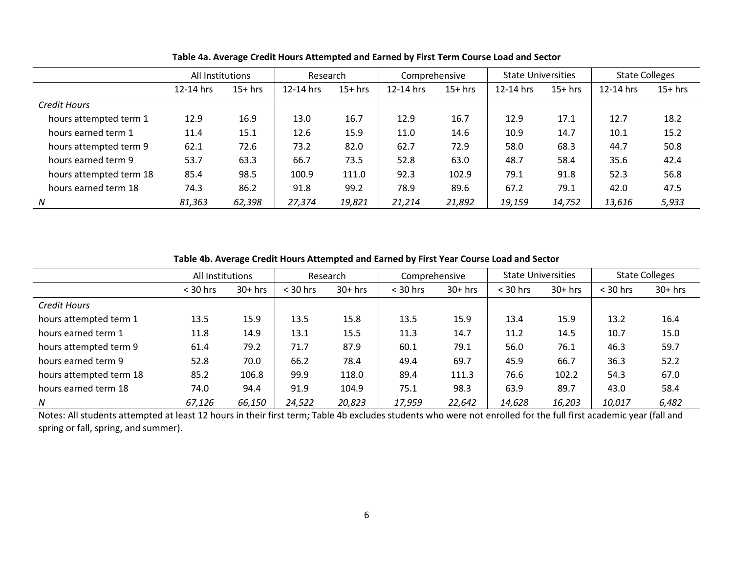|                         | All Institutions<br>Research |           | Comprehensive |           | <b>State Universities</b> |           | <b>State Colleges</b> |           |           |           |
|-------------------------|------------------------------|-----------|---------------|-----------|---------------------------|-----------|-----------------------|-----------|-----------|-----------|
|                         | 12-14 hrs                    | $15+$ hrs | 12-14 hrs     | $15+$ hrs | 12-14 hrs                 | $15+$ hrs | 12-14 hrs             | $15+$ hrs | 12-14 hrs | $15+$ hrs |
| Credit Hours            |                              |           |               |           |                           |           |                       |           |           |           |
| hours attempted term 1  | 12.9                         | 16.9      | 13.0          | 16.7      | 12.9                      | 16.7      | 12.9                  | 17.1      | 12.7      | 18.2      |
| hours earned term 1     | 11.4                         | 15.1      | 12.6          | 15.9      | 11.0                      | 14.6      | 10.9                  | 14.7      | 10.1      | 15.2      |
| hours attempted term 9  | 62.1                         | 72.6      | 73.2          | 82.0      | 62.7                      | 72.9      | 58.0                  | 68.3      | 44.7      | 50.8      |
| hours earned term 9     | 53.7                         | 63.3      | 66.7          | 73.5      | 52.8                      | 63.0      | 48.7                  | 58.4      | 35.6      | 42.4      |
| hours attempted term 18 | 85.4                         | 98.5      | 100.9         | 111.0     | 92.3                      | 102.9     | 79.1                  | 91.8      | 52.3      | 56.8      |
| hours earned term 18    | 74.3                         | 86.2      | 91.8          | 99.2      | 78.9                      | 89.6      | 67.2                  | 79.1      | 42.0      | 47.5      |
| N                       | 81,363                       | 62,398    | 27,374        | 19,821    | 21,214                    | 21,892    | 19,159                | 14,752    | 13,616    | 5,933     |

**Table 4a. Average Credit Hours Attempted and Earned by First Term Course Load and Sector**

**Table 4b. Average Credit Hours Attempted and Earned by First Year Course Load and Sector**

|                         | All Institutions |           | Research   |           | Comprehensive |           | <b>State Universities</b> |           | <b>State Colleges</b> |           |
|-------------------------|------------------|-----------|------------|-----------|---------------|-----------|---------------------------|-----------|-----------------------|-----------|
|                         | $<$ 30 hrs       | $30+$ hrs | $<$ 30 hrs | $30+$ hrs | $<$ 30 hrs    | $30+$ hrs | $<$ 30 hrs                | $30+$ hrs | $<$ 30 hrs            | $30+$ hrs |
| <b>Credit Hours</b>     |                  |           |            |           |               |           |                           |           |                       |           |
| hours attempted term 1  | 13.5             | 15.9      | 13.5       | 15.8      | 13.5          | 15.9      | 13.4                      | 15.9      | 13.2                  | 16.4      |
| hours earned term 1     | 11.8             | 14.9      | 13.1       | 15.5      | 11.3          | 14.7      | 11.2                      | 14.5      | 10.7                  | 15.0      |
| hours attempted term 9  | 61.4             | 79.2      | 71.7       | 87.9      | 60.1          | 79.1      | 56.0                      | 76.1      | 46.3                  | 59.7      |
| hours earned term 9     | 52.8             | 70.0      | 66.2       | 78.4      | 49.4          | 69.7      | 45.9                      | 66.7      | 36.3                  | 52.2      |
| hours attempted term 18 | 85.2             | 106.8     | 99.9       | 118.0     | 89.4          | 111.3     | 76.6                      | 102.2     | 54.3                  | 67.0      |
| hours earned term 18    | 74.0             | 94.4      | 91.9       | 104.9     | 75.1          | 98.3      | 63.9                      | 89.7      | 43.0                  | 58.4      |
| N                       | 67,126           | 66,150    | 24,522     | 20,823    | 17,959        | 22,642    | 14,628                    | 16,203    | 10,017                | 6,482     |

Notes: All students attempted at least 12 hours in their first term; Table 4b excludes students who were not enrolled for the full first academic year (fall and spring or fall, spring, and summer).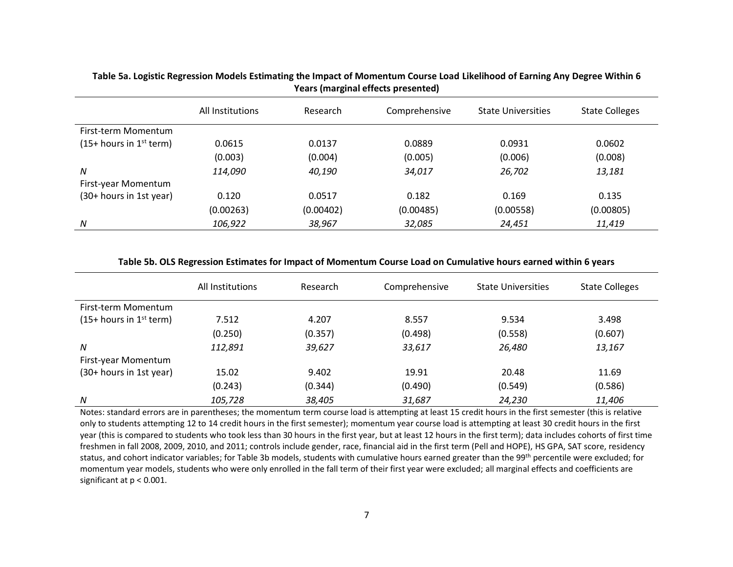|                                       | All Institutions | Research  | Comprehensive | <b>State Universities</b> | <b>State Colleges</b> |
|---------------------------------------|------------------|-----------|---------------|---------------------------|-----------------------|
| First-term Momentum                   |                  |           |               |                           |                       |
| $(15+$ hours in 1 <sup>st</sup> term) | 0.0615           | 0.0137    | 0.0889        | 0.0931                    | 0.0602                |
|                                       | (0.003)          | (0.004)   | (0.005)       | (0.006)                   | (0.008)               |
| N                                     | 114,090          | 40,190    | 34,017        | 26,702                    | 13,181                |
| First-year Momentum                   |                  |           |               |                           |                       |
| (30+ hours in 1st year)               | 0.120            | 0.0517    | 0.182         | 0.169                     | 0.135                 |
|                                       | (0.00263)        | (0.00402) | (0.00485)     | (0.00558)                 | (0.00805)             |
| N                                     | 106,922          | 38,967    | 32,085        | 24,451                    | 11,419                |

### **Table 5a. Logistic Regression Models Estimating the Impact of Momentum Course Load Likelihood of Earning Any Degree Within 6 Years (marginal effects presented)**

#### **Table 5b. OLS Regression Estimates for Impact of Momentum Course Load on Cumulative hours earned within 6 years**

|                           | All Institutions | Research | Comprehensive | <b>State Universities</b> | <b>State Colleges</b> |
|---------------------------|------------------|----------|---------------|---------------------------|-----------------------|
| First-term Momentum       |                  |          |               |                           |                       |
| $(15+ hours in 1st term)$ | 7.512            | 4.207    | 8.557         | 9.534                     | 3.498                 |
|                           | (0.250)          | (0.357)  | (0.498)       | (0.558)                   | (0.607)               |
| N                         | 112,891          | 39,627   | 33,617        | 26,480                    | 13,167                |
| First-year Momentum       |                  |          |               |                           |                       |
| (30+ hours in 1st year)   | 15.02            | 9.402    | 19.91         | 20.48                     | 11.69                 |
|                           | (0.243)          | (0.344)  | (0.490)       | (0.549)                   | (0.586)               |
| N                         | 105,728          | 38,405   | 31,687        | 24,230                    | 11,406                |

Notes: standard errors are in parentheses; the momentum term course load is attempting at least 15 credit hours in the first semester (this is relative only to students attempting 12 to 14 credit hours in the first semester); momentum year course load is attempting at least 30 credit hours in the first year (this is compared to students who took less than 30 hours in the first year, but at least 12 hours in the first term); data includes cohorts of first time freshmen in fall 2008, 2009, 2010, and 2011; controls include gender, race, financial aid in the first term (Pell and HOPE), HS GPA, SAT score, residency status, and cohort indicator variables; for Table 3b models, students with cumulative hours earned greater than the 99<sup>th</sup> percentile were excluded; for momentum year models, students who were only enrolled in the fall term of their first year were excluded; all marginal effects and coefficients are significant at p < 0.001.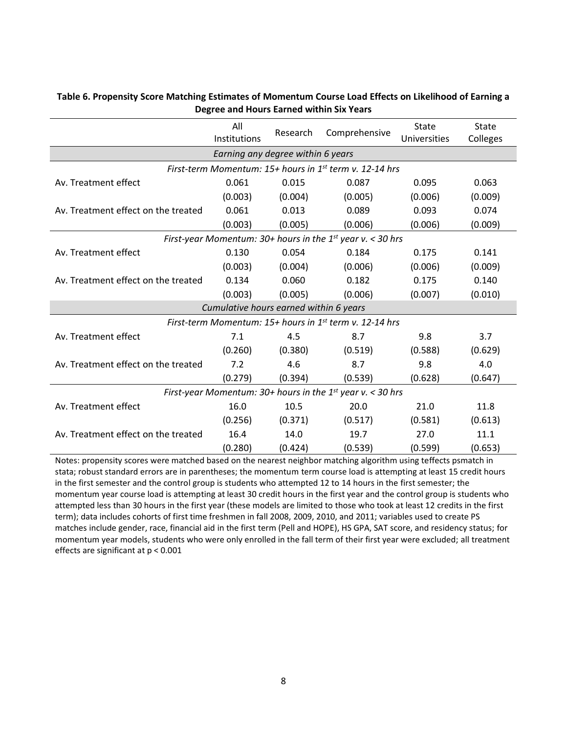|                                     | All<br>Institutions                    | Research | Comprehensive                                                       | State<br>Universities | State<br>Colleges |  |  |  |
|-------------------------------------|----------------------------------------|----------|---------------------------------------------------------------------|-----------------------|-------------------|--|--|--|
| Earning any degree within 6 years   |                                        |          |                                                                     |                       |                   |  |  |  |
|                                     |                                        |          | First-term Momentum: 15+ hours in 1 <sup>st</sup> term v. 12-14 hrs |                       |                   |  |  |  |
| Av. Treatment effect                | 0.061                                  | 0.015    | 0.087                                                               | 0.095                 | 0.063             |  |  |  |
|                                     | (0.003)                                | (0.004)  | (0.005)                                                             | (0.006)               | (0.009)           |  |  |  |
| Av. Treatment effect on the treated | 0.061                                  | 0.013    | 0.089                                                               | 0.093                 | 0.074             |  |  |  |
|                                     | (0.003)                                | (0.005)  | (0.006)                                                             | (0.006)               | (0.009)           |  |  |  |
|                                     |                                        |          | First-year Momentum: $30+$ hours in the 1st year v. < 30 hrs        |                       |                   |  |  |  |
| Av. Treatment effect                | 0.130                                  | 0.054    | 0.184                                                               | 0.175                 | 0.141             |  |  |  |
|                                     | (0.003)                                | (0.004)  | (0.006)                                                             | (0.006)               | (0.009)           |  |  |  |
| Av. Treatment effect on the treated | 0.134                                  | 0.060    | 0.182                                                               | 0.175                 | 0.140             |  |  |  |
|                                     | (0.003)                                | (0.005)  | (0.006)                                                             | (0.007)               | (0.010)           |  |  |  |
|                                     | Cumulative hours earned within 6 years |          |                                                                     |                       |                   |  |  |  |
|                                     |                                        |          | First-term Momentum: 15+ hours in 1 <sup>st</sup> term v. 12-14 hrs |                       |                   |  |  |  |
| Av. Treatment effect                | 7.1                                    | 4.5      | 8.7                                                                 | 9.8                   | 3.7               |  |  |  |
|                                     | (0.260)                                | (0.380)  | (0.519)                                                             | (0.588)               | (0.629)           |  |  |  |
| Av. Treatment effect on the treated | 7.2                                    | 4.6      | 8.7                                                                 | 9.8                   | 4.0               |  |  |  |
|                                     | (0.279)                                | (0.394)  | (0.539)                                                             | (0.628)               | (0.647)           |  |  |  |
|                                     |                                        |          | First-year Momentum: $30+$ hours in the 1st year v. < 30 hrs        |                       |                   |  |  |  |
| Av. Treatment effect                | 16.0                                   | 10.5     | 20.0                                                                | 21.0                  | 11.8              |  |  |  |
|                                     | (0.256)                                | (0.371)  | (0.517)                                                             | (0.581)               | (0.613)           |  |  |  |
| Av. Treatment effect on the treated | 16.4                                   | 14.0     | 19.7                                                                | 27.0                  | 11.1              |  |  |  |
|                                     | (0.280)                                | (0.424)  | (0.539)                                                             | (0.599)               | (0.653)           |  |  |  |

### **Table 6. Propensity Score Matching Estimates of Momentum Course Load Effects on Likelihood of Earning a Degree and Hours Earned within Six Years**

Notes: propensity scores were matched based on the nearest neighbor matching algorithm using teffects psmatch in stata; robust standard errors are in parentheses; the momentum term course load is attempting at least 15 credit hours in the first semester and the control group is students who attempted 12 to 14 hours in the first semester; the momentum year course load is attempting at least 30 credit hours in the first year and the control group is students who attempted less than 30 hours in the first year (these models are limited to those who took at least 12 credits in the first term); data includes cohorts of first time freshmen in fall 2008, 2009, 2010, and 2011; variables used to create PS matches include gender, race, financial aid in the first term (Pell and HOPE), HS GPA, SAT score, and residency status; for momentum year models, students who were only enrolled in the fall term of their first year were excluded; all treatment effects are significant at p < 0.001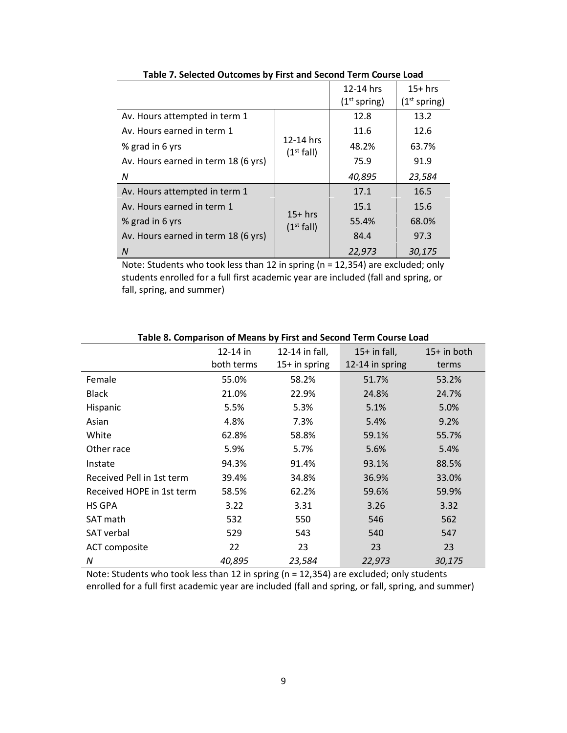|                                     |                                     | 12-14 hrs<br>(1 <sup>st</sup> spring) | $15+$ hrs<br>(1 <sup>st</sup> spring) |
|-------------------------------------|-------------------------------------|---------------------------------------|---------------------------------------|
| Av. Hours attempted in term 1       |                                     | 12.8                                  | 13.2                                  |
| Av. Hours earned in term 1          |                                     | 11.6                                  | 12.6                                  |
| % grad in 6 yrs                     | 12-14 hrs<br>(1 <sup>st</sup> fall) | 48.2%                                 | 63.7%                                 |
| Av. Hours earned in term 18 (6 yrs) |                                     | 75.9                                  | 91.9                                  |
| N                                   |                                     | 40,895                                | 23,584                                |
| Av. Hours attempted in term 1       |                                     | 17.1                                  | 16.5                                  |
| Av. Hours earned in term 1          |                                     | 15.1                                  | 15.6                                  |
| % grad in 6 yrs                     | $15+$ hrs<br>(1 <sup>st</sup> fall) | 55.4%                                 | 68.0%                                 |
| Av. Hours earned in term 18 (6 yrs) |                                     | 84.4                                  | 97.3                                  |
| $\overline{M}$                      |                                     | 22,973                                | 30,175                                |

**Table 7. Selected Outcomes by First and Second Term Course Load** 

Note: Students who took less than 12 in spring (n = 12,354) are excluded; only students enrolled for a full first academic year are included (fall and spring, or fall, spring, and summer)

|                           | $12 - 14$ in | 12-14 in fall, | $15+$ in fall,  | $15+$ in both |
|---------------------------|--------------|----------------|-----------------|---------------|
|                           | both terms   | 15+ in spring  | 12-14 in spring | terms         |
| Female                    | 55.0%        | 58.2%          | 51.7%           | 53.2%         |
| <b>Black</b>              | 21.0%        | 22.9%          | 24.8%           | 24.7%         |
| Hispanic                  | 5.5%         | 5.3%           | 5.1%            | 5.0%          |
| Asian                     | 4.8%         | 7.3%           | 5.4%            | 9.2%          |
| White                     | 62.8%        | 58.8%          | 59.1%           | 55.7%         |
| Other race                | 5.9%         | 5.7%           | 5.6%            | 5.4%          |
| Instate                   | 94.3%        | 91.4%          | 93.1%           | 88.5%         |
| Received Pell in 1st term | 39.4%        | 34.8%          | 36.9%           | 33.0%         |
| Received HOPE in 1st term | 58.5%        | 62.2%          | 59.6%           | 59.9%         |
| HS GPA                    | 3.22         | 3.31           | 3.26            | 3.32          |
| SAT math                  | 532          | 550            | 546             | 562           |
| <b>SAT</b> verbal         | 529          | 543            | 540             | 547           |
| ACT composite             | 22           | 23             | 23              | 23            |
| N                         | 40,895       | 23,584         | 22,973          | 30,175        |

**Table 8. Comparison of Means by First and Second Term Course Load**

Note: Students who took less than 12 in spring (n = 12,354) are excluded; only students enrolled for a full first academic year are included (fall and spring, or fall, spring, and summer)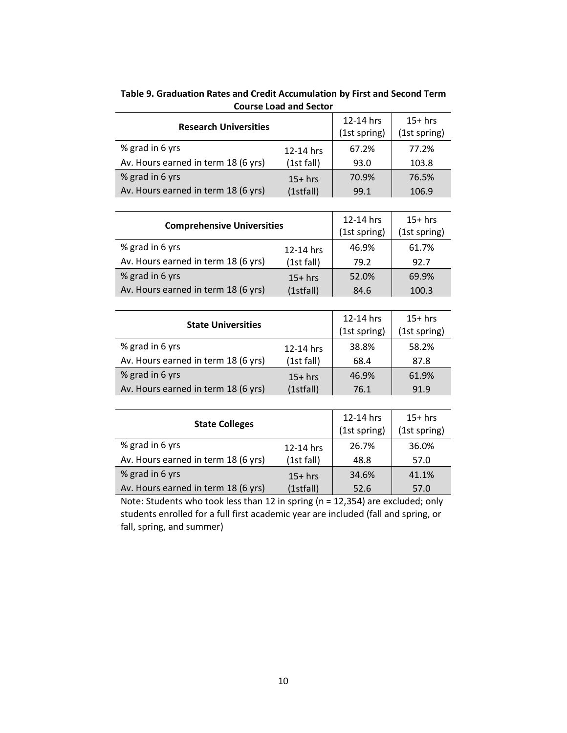| <b>Research Universities</b>        |            | 12-14 hrs<br>(1st spring) | $15+$ hrs<br>(1st spring) |
|-------------------------------------|------------|---------------------------|---------------------------|
| % grad in 6 yrs                     | 12-14 hrs  | 67.2%                     | 77.2%                     |
| Av. Hours earned in term 18 (6 yrs) | (1st fall) | 93.0                      | 103.8                     |
| % grad in 6 yrs                     | $15+$ hrs  | 70.9%                     | 76.5%                     |
| Av. Hours earned in term 18 (6 yrs) | (1stfall)  | 99.1                      | 106.9                     |

**Table 9. Graduation Rates and Credit Accumulation by First and Second Term Course Load and Sector**

| <b>Comprehensive Universities</b>   |            | 12-14 hrs<br>(1st spring) | $15+$ hrs<br>(1st spring) |  |
|-------------------------------------|------------|---------------------------|---------------------------|--|
| % grad in 6 yrs                     | 12-14 hrs  | 46.9%                     | 61.7%                     |  |
| Av. Hours earned in term 18 (6 yrs) | (1st fall) | 79.2                      | 92.7                      |  |
| % grad in 6 yrs                     | $15+$ hrs  | 52.0%                     | 69.9%                     |  |
| Av. Hours earned in term 18 (6 yrs) | (1stfall)  | 84.6                      | 100.3                     |  |

| <b>State Universities</b>           |            | 12-14 hrs<br>(1st spring) | $15+$ hrs<br>(1st spring) |
|-------------------------------------|------------|---------------------------|---------------------------|
| % grad in 6 yrs                     | 12-14 hrs  | 38.8%                     | 58.2%                     |
| Av. Hours earned in term 18 (6 yrs) | (1st fall) | 68.4                      | 87.8                      |
| % grad in 6 yrs                     | $15+$ hrs  | 46.9%                     | 61.9%                     |
| Av. Hours earned in term 18 (6 yrs) | (1stfall)  | 76.1                      | 91.9                      |

| <b>State Colleges</b>               |            | 12-14 hrs<br>(1st spring) | $15+$ hrs<br>(1st spring) |
|-------------------------------------|------------|---------------------------|---------------------------|
| % grad in 6 yrs                     | 12-14 hrs  | 26.7%                     | 36.0%                     |
| Av. Hours earned in term 18 (6 yrs) | (1st fall) | 48.8                      | 57.0                      |
| % grad in 6 yrs                     | $15+$ hrs  | 34.6%                     | 41.1%                     |
| Av. Hours earned in term 18 (6 yrs) | (1stfall)  | 52.6                      | 57.0                      |

Note: Students who took less than 12 in spring (n = 12,354) are excluded; only students enrolled for a full first academic year are included (fall and spring, or fall, spring, and summer)